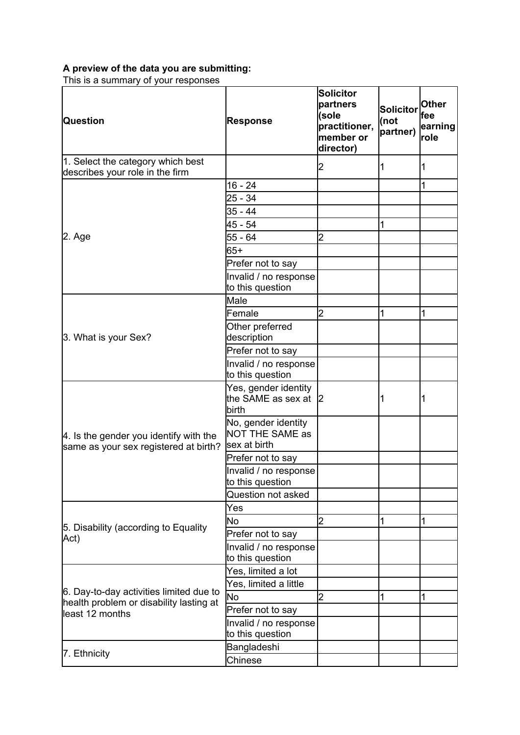## **A preview of the data you are submitting:**

This is a summary of your responses

| Question                                                                           | Response                                               | <b>Solicitor</b><br>partners<br>(sole<br>practitioner,<br>member or<br>director) | <b>Solicitor</b><br>(not<br>partner) | <b>Other</b><br> fee<br>earning<br><b>role</b> |
|------------------------------------------------------------------------------------|--------------------------------------------------------|----------------------------------------------------------------------------------|--------------------------------------|------------------------------------------------|
| 1. Select the category which best<br>describes your role in the firm               |                                                        | 2                                                                                | 1                                    | 1                                              |
|                                                                                    | $16 - 24$                                              |                                                                                  |                                      | 1                                              |
|                                                                                    | $25 - 34$                                              |                                                                                  |                                      |                                                |
|                                                                                    | $35 - 44$                                              |                                                                                  |                                      |                                                |
|                                                                                    | 45 - 54                                                |                                                                                  | 1                                    |                                                |
| 2. Age                                                                             | 55 - 64                                                | $\overline{2}$                                                                   |                                      |                                                |
|                                                                                    | $65+$                                                  |                                                                                  |                                      |                                                |
|                                                                                    | Prefer not to say                                      |                                                                                  |                                      |                                                |
|                                                                                    | Invalid / no response<br>to this question              |                                                                                  |                                      |                                                |
|                                                                                    | lMale                                                  |                                                                                  |                                      |                                                |
|                                                                                    | Female                                                 | 2                                                                                | 1                                    | 1                                              |
| 3. What is your Sex?                                                               | Other preferred<br>description                         |                                                                                  |                                      |                                                |
|                                                                                    | Prefer not to say                                      |                                                                                  |                                      |                                                |
|                                                                                    | Invalid / no response<br>to this question              |                                                                                  |                                      |                                                |
| 4. Is the gender you identify with the<br>same as your sex registered at birth?    | Yes, gender identity<br>the SAME as sex at 2<br>birth  |                                                                                  | 1                                    | 1                                              |
|                                                                                    | No, gender identity<br>NOT THE SAME as<br>sex at birth |                                                                                  |                                      |                                                |
|                                                                                    | Prefer not to say                                      |                                                                                  |                                      |                                                |
|                                                                                    | Invalid / no response<br>to this question              |                                                                                  |                                      |                                                |
|                                                                                    | Question not asked                                     |                                                                                  |                                      |                                                |
|                                                                                    | Yes                                                    |                                                                                  |                                      |                                                |
| 5. Disability (according to Equality                                               | No.                                                    | $\overline{2}$                                                                   | 1                                    | 1                                              |
| Act)                                                                               | Prefer not to say                                      |                                                                                  |                                      |                                                |
|                                                                                    | Invalid / no response<br>to this question              |                                                                                  |                                      |                                                |
|                                                                                    | Yes, limited a lot                                     |                                                                                  |                                      |                                                |
|                                                                                    | Yes, limited a little                                  |                                                                                  |                                      |                                                |
| 6. Day-to-day activities limited due to<br>health problem or disability lasting at | No                                                     | 2                                                                                | 1                                    | 1                                              |
| least 12 months                                                                    | Prefer not to say                                      |                                                                                  |                                      |                                                |
|                                                                                    | Invalid / no response<br>to this question              |                                                                                  |                                      |                                                |
|                                                                                    | Bangladeshi                                            |                                                                                  |                                      |                                                |
| 7. Ethnicity                                                                       | Chinese                                                |                                                                                  |                                      |                                                |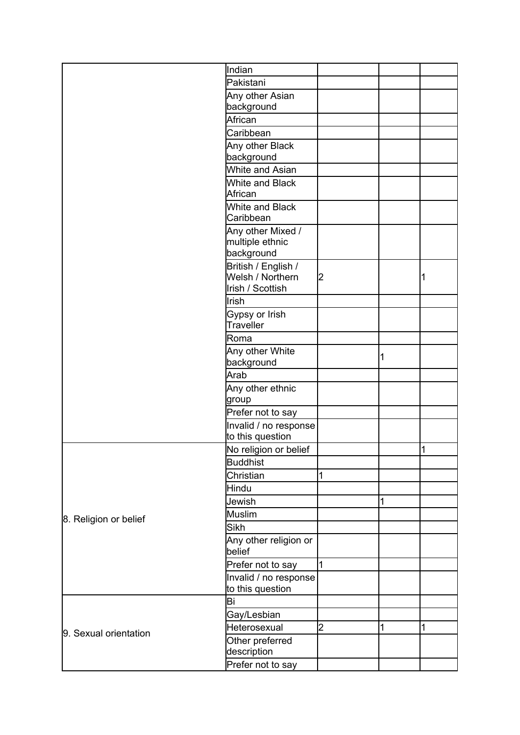|                       | lIndian                       |   |   |   |
|-----------------------|-------------------------------|---|---|---|
|                       | Pakistani                     |   |   |   |
|                       | Any other Asian               |   |   |   |
|                       | background                    |   |   |   |
|                       | African                       |   |   |   |
|                       | Caribbean                     |   |   |   |
|                       | Any other Black               |   |   |   |
|                       | background                    |   |   |   |
|                       | White and Asian               |   |   |   |
|                       | White and Black               |   |   |   |
|                       | African                       |   |   |   |
|                       | White and Black<br>Caribbean  |   |   |   |
|                       | Any other Mixed /             |   |   |   |
|                       | multiple ethnic               |   |   |   |
|                       | background                    |   |   |   |
|                       | British / English /           |   |   |   |
|                       | Welsh / Northern              | 2 |   |   |
|                       | Irish / Scottish              |   |   |   |
|                       | Irish                         |   |   |   |
|                       | Gypsy or Irish<br>Traveller   |   |   |   |
|                       | Roma                          |   |   |   |
|                       |                               |   |   |   |
|                       | Any other White<br>background |   | 1 |   |
|                       | Arab                          |   |   |   |
|                       | Any other ethnic              |   |   |   |
|                       | group                         |   |   |   |
|                       | Prefer not to say             |   |   |   |
|                       | Invalid / no response         |   |   |   |
|                       | to this question              |   |   |   |
|                       | No religion or belief         |   |   | 1 |
|                       | <b>Buddhist</b>               |   |   |   |
|                       | Christian                     | 1 |   |   |
| 8. Religion or belief | Hindu                         |   |   |   |
|                       | Jewish                        |   | 1 |   |
|                       | Muslim                        |   |   |   |
|                       | Sikh                          |   |   |   |
|                       | Any other religion or         |   |   |   |
|                       | belief                        |   |   |   |
|                       | Prefer not to say             | 1 |   |   |
|                       | Invalid / no response         |   |   |   |
|                       | to this question              |   |   |   |
|                       | Βi                            |   |   |   |
| 9. Sexual orientation | Gay/Lesbian                   |   |   |   |
|                       | Heterosexual                  | 2 | 1 | 1 |
|                       | Other preferred               |   |   |   |
|                       | description                   |   |   |   |
|                       | Prefer not to say             |   |   |   |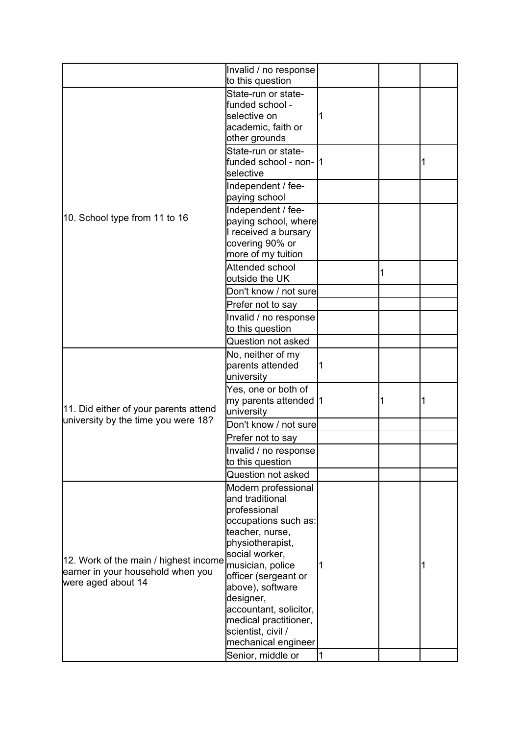|                                                                                                  | Invalid / no response<br>to this question                                                                                                                                                                                                                                                     |           |   |  |
|--------------------------------------------------------------------------------------------------|-----------------------------------------------------------------------------------------------------------------------------------------------------------------------------------------------------------------------------------------------------------------------------------------------|-----------|---|--|
| 10. School type from 11 to 16                                                                    | State-run or state-<br>funded school -<br>selective on<br>academic, faith or<br>other grounds                                                                                                                                                                                                 |           |   |  |
|                                                                                                  | State-run or state-<br>funded school - non-  1<br>selective                                                                                                                                                                                                                                   |           |   |  |
|                                                                                                  | Independent / fee-<br>paying school                                                                                                                                                                                                                                                           |           |   |  |
|                                                                                                  | Independent / fee-<br>paying school, where<br>I received a bursary<br>covering 90% or<br>more of my tuition                                                                                                                                                                                   |           |   |  |
|                                                                                                  | Attended school<br>outside the UK                                                                                                                                                                                                                                                             |           | 1 |  |
|                                                                                                  | Don't know / not sure                                                                                                                                                                                                                                                                         |           |   |  |
|                                                                                                  | Prefer not to say                                                                                                                                                                                                                                                                             |           |   |  |
|                                                                                                  | Invalid / no response                                                                                                                                                                                                                                                                         |           |   |  |
|                                                                                                  | to this question                                                                                                                                                                                                                                                                              |           |   |  |
|                                                                                                  | Question not asked                                                                                                                                                                                                                                                                            |           |   |  |
| 11. Did either of your parents attend                                                            | No, neither of my<br>parents attended<br>university                                                                                                                                                                                                                                           | 1         |   |  |
|                                                                                                  | Yes, one or both of<br>my parents attended 1<br>university                                                                                                                                                                                                                                    |           | 1 |  |
| university by the time you were 18?                                                              | Don't know / not sure                                                                                                                                                                                                                                                                         |           |   |  |
|                                                                                                  | Prefer not to say                                                                                                                                                                                                                                                                             |           |   |  |
|                                                                                                  | Invalid / no response<br>to this question                                                                                                                                                                                                                                                     |           |   |  |
|                                                                                                  | Question not asked                                                                                                                                                                                                                                                                            |           |   |  |
| 12. Work of the main / highest income<br>earner in your household when you<br>were aged about 14 | Modern professional<br>and traditional<br>professional<br>occupations such as:<br>teacher, nurse,<br>physiotherapist,<br>social worker,<br>musician, police<br>officer (sergeant or<br>above), software<br>designer,<br>accountant, solicitor,<br>medical practitioner,<br>scientist, civil / |           |   |  |
|                                                                                                  | mechanical engineer<br>Senior, middle or                                                                                                                                                                                                                                                      | $\vert$ 1 |   |  |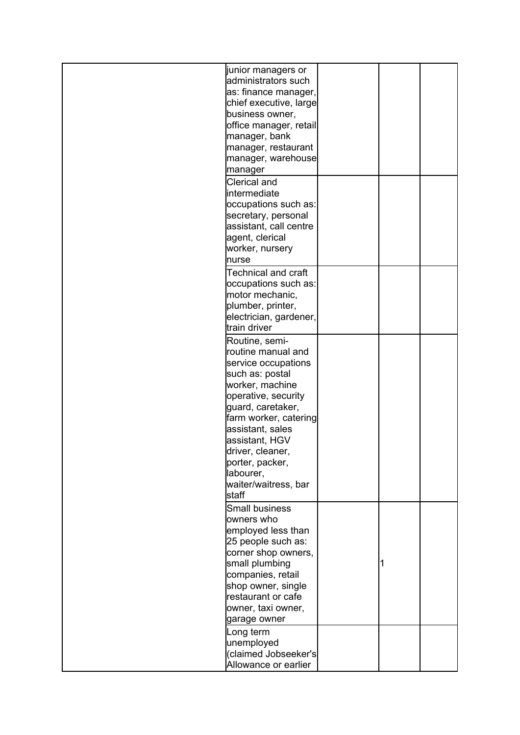| liunior managers or    |  |  |
|------------------------|--|--|
| administrators such    |  |  |
| as: finance manager,   |  |  |
| chief executive, large |  |  |
| business owner,        |  |  |
| office manager, retail |  |  |
| manager, bank          |  |  |
| manager, restaurant    |  |  |
| manager, warehouse     |  |  |
| manager                |  |  |
| Clerical and           |  |  |
| intermediate           |  |  |
| occupations such as:   |  |  |
| secretary, personal    |  |  |
| assistant, call centre |  |  |
| agent, clerical        |  |  |
| worker, nursery        |  |  |
| Inurse                 |  |  |
| Technical and craft    |  |  |
| occupations such as:   |  |  |
| motor mechanic,        |  |  |
| plumber, printer,      |  |  |
| electrician, gardener, |  |  |
| ltrain driver          |  |  |
| Routine, semi-         |  |  |
| routine manual and     |  |  |
| service occupations    |  |  |
| such as: postal        |  |  |
| worker, machine        |  |  |
| operative, security    |  |  |
| guard, caretaker,      |  |  |
| farm worker, catering  |  |  |
| assistant, sales       |  |  |
| assistant, HGV         |  |  |
| ldriver, cleaner,      |  |  |
| porter, packer,        |  |  |
| labourer,              |  |  |
| waiter/waitress, bar   |  |  |
| staff                  |  |  |
| <b>Small business</b>  |  |  |
| owners who             |  |  |
| employed less than     |  |  |
| 25 people such as:     |  |  |
| corner shop owners,    |  |  |
| small plumbing         |  |  |
| companies, retail      |  |  |
| shop owner, single     |  |  |
| restaurant or cafe     |  |  |
| owner, taxi owner,     |  |  |
| garage owner           |  |  |
| Long term              |  |  |
| unemployed             |  |  |
| (claimed Jobseeker's   |  |  |
| Allowance or earlier   |  |  |